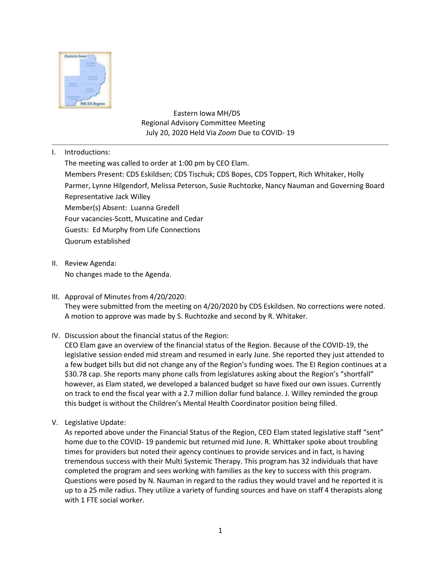

 Eastern Iowa MH/DS Regional Advisory Committee Meeting July 20, 2020 Held Via *Zoom* Due to COVID- 19

I. Introductions:

The meeting was called to order at 1:00 pm by CEO Elam. Members Present: CDS Eskildsen; CDS Tischuk; CDS Bopes, CDS Toppert, Rich Whitaker, Holly Parmer, Lynne Hilgendorf, Melissa Peterson, Susie Ruchtozke, Nancy Nauman and Governing Board Representative Jack Willey Member(s) Absent: Luanna Gredell Four vacancies-Scott, Muscatine and Cedar Guests: Ed Murphy from Life Connections Quorum established

- II. Review Agenda: No changes made to the Agenda.
- III. Approval of Minutes from 4/20/2020: They were submitted from the meeting on 4/20/2020 by CDS Eskildsen. No corrections were noted. A motion to approve was made by S. Ruchtozke and second by R. Whitaker.
- IV. Discussion about the financial status of the Region:

CEO Elam gave an overview of the financial status of the Region. Because of the COVID-19, the legislative session ended mid stream and resumed in early June. She reported they just attended to a few budget bills but did not change any of the Region's funding woes. The EI Region continues at a \$30.78 cap. She reports many phone calls from legislatures asking about the Region's "shortfall" however, as Elam stated, we developed a balanced budget so have fixed our own issues. Currently on track to end the fiscal year with a 2.7 million dollar fund balance. J. Willey reminded the group this budget is without the Children's Mental Health Coordinator position being filled.

V. Legislative Update:

As reported above under the Financial Status of the Region, CEO Elam stated legislative staff "sent" home due to the COVID- 19 pandemic but returned mid June. R. Whittaker spoke about troubling times for providers but noted their agency continues to provide services and in fact, is having tremendous success with their Multi Systemic Therapy. This program has 32 individuals that have completed the program and sees working with families as the key to success with this program. Questions were posed by N. Nauman in regard to the radius they would travel and he reported it is up to a 25 mile radius. They utilize a variety of funding sources and have on staff 4 therapists along with 1 FTE social worker.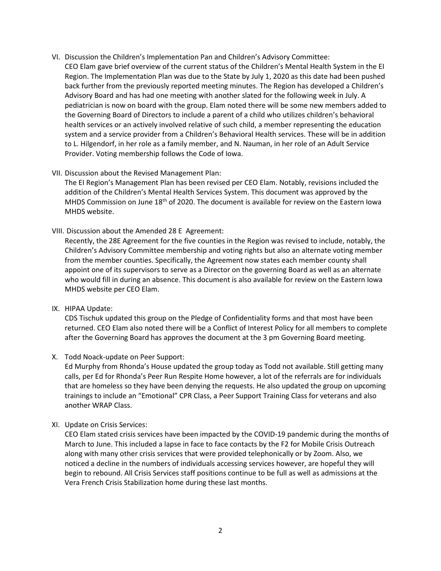- VI. Discussion the Children's Implementation Pan and Children's Advisory Committee:
	- CEO Elam gave brief overview of the current status of the Children's Mental Health System in the EI Region. The Implementation Plan was due to the State by July 1, 2020 as this date had been pushed back further from the previously reported meeting minutes. The Region has developed a Children's Advisory Board and has had one meeting with another slated for the following week in July. A pediatrician is now on board with the group. Elam noted there will be some new members added to the Governing Board of Directors to include a parent of a child who utilizes children's behavioral health services or an actively involved relative of such child, a member representing the education system and a service provider from a Children's Behavioral Health services. These will be in addition to L. Hilgendorf, in her role as a family member, and N. Nauman, in her role of an Adult Service Provider. Voting membership follows the Code of Iowa.

## VII. Discussion about the Revised Management Plan:

The EI Region's Management Plan has been revised per CEO Elam. Notably, revisions included the addition of the Children's Mental Health Services System. This document was approved by the MHDS Commission on June 18<sup>th</sup> of 2020. The document is available for review on the Eastern Iowa MHDS website.

VIII. Discussion about the Amended 28 E Agreement:

Recently, the 28E Agreement for the five counties in the Region was revised to include, notably, the Children's Advisory Committee membership and voting rights but also an alternate voting member from the member counties. Specifically, the Agreement now states each member county shall appoint one of its supervisors to serve as a Director on the governing Board as well as an alternate who would fill in during an absence. This document is also available for review on the Eastern Iowa MHDS website per CEO Elam.

IX. HIPAA Update:

CDS Tischuk updated this group on the Pledge of Confidentiality forms and that most have been returned. CEO Elam also noted there will be a Conflict of Interest Policy for all members to complete after the Governing Board has approves the document at the 3 pm Governing Board meeting.

X. Todd Noack-update on Peer Support:

Ed Murphy from Rhonda's House updated the group today as Todd not available. Still getting many calls, per Ed for Rhonda's Peer Run Respite Home however, a lot of the referrals are for individuals that are homeless so they have been denying the requests. He also updated the group on upcoming trainings to include an "Emotional" CPR Class, a Peer Support Training Class for veterans and also another WRAP Class.

## XI. Update on Crisis Services:

CEO Elam stated crisis services have been impacted by the COVID-19 pandemic during the months of March to June. This included a lapse in face to face contacts by the F2 for Mobile Crisis Outreach along with many other crisis services that were provided telephonically or by Zoom. Also, we noticed a decline in the numbers of individuals accessing services however, are hopeful they will begin to rebound. All Crisis Services staff positions continue to be full as well as admissions at the Vera French Crisis Stabilization home during these last months.